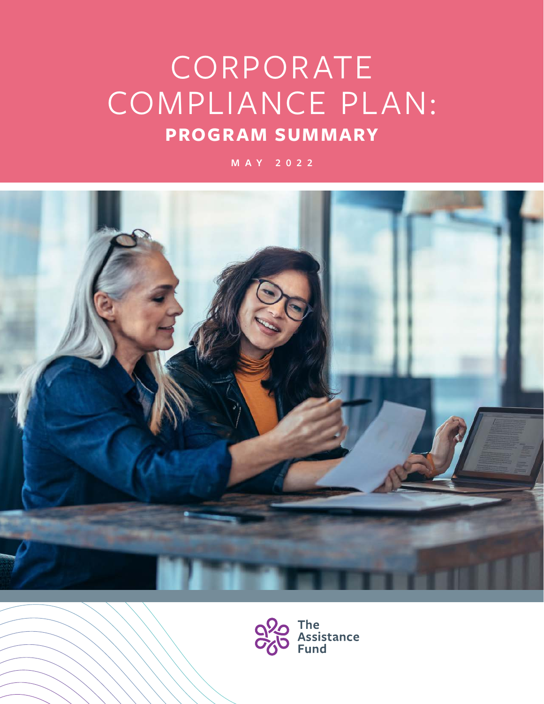# CORPORATE COMPLIANCE PLAN: **PROGRAM SUMMARY**

**MAY 2022**



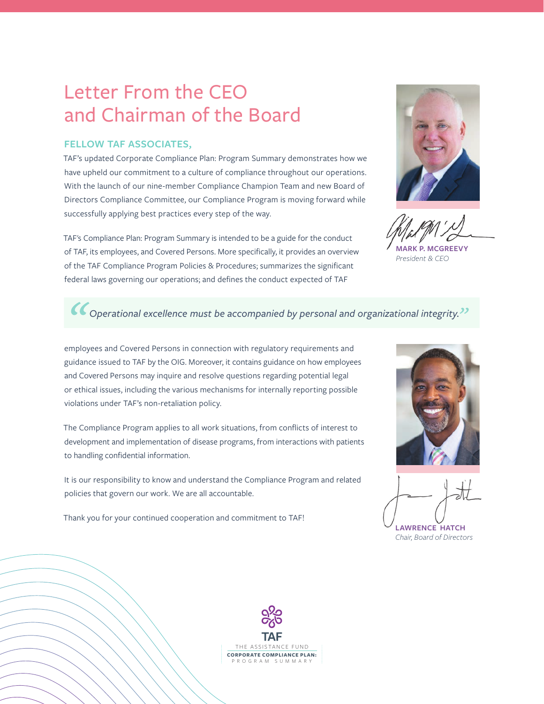# Letter From the CEO and Chairman of the Board

## **FELLOW TAF ASSOCIATES,**

TAF's updated Corporate Compliance Plan: Program Summary demonstrates how we have upheld our commitment to a culture of compliance throughout our operations. With the launch of our nine-member Compliance Champion Team and new Board of Directors Compliance Committee, our Compliance Program is moving forward while successfully applying best practices every step of the way.

TAF's Compliance Plan: Program Summary is intended to be a guide for the conduct of TAF, its employees, and Covered Persons. More specifically, it provides an overview of the TAF Compliance Program Policies & Procedures; summarizes the significant federal laws governing our operations; and defines the conduct expected of TAF



**MARK P.N.** 

*President & CEO*

# *Operational excellence must be accompanied by personal and organizational integrity."*

employees and Covered Persons in connection with regulatory requirements and guidance issued to TAF by the OIG. Moreover, it contains guidance on how employees and Covered Persons may inquire and resolve questions regarding potential legal or ethical issues, including the various mechanisms for internally reporting possible violations under TAF's non-retaliation policy.

The Compliance Program applies to all work situations, from conflicts of interest to development and implementation of disease programs, from interactions with patients to handling confidential information.

It is our responsibility to know and understand the Compliance Program and related policies that govern our work. We are all accountable.

Thank you for your continued cooperation and commitment to TAF!



**LAWRENCE HATCH** *Chair, Board of Directors*

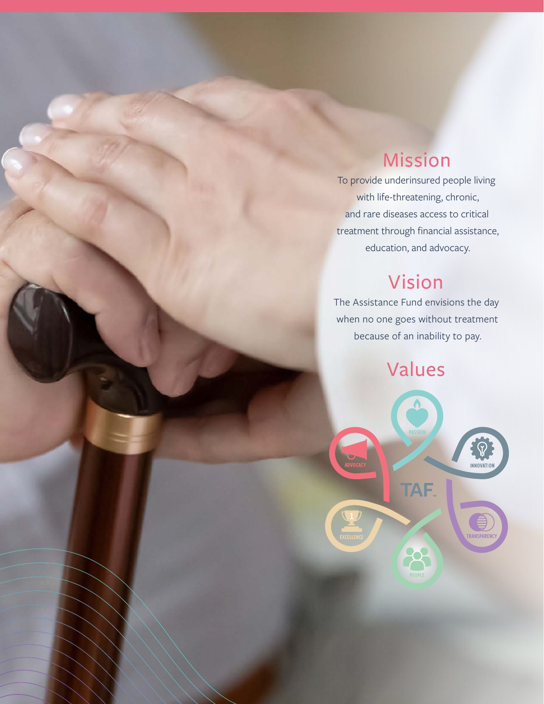# Mission

To provide underinsured people living with life-threatening, chronic, and rare diseases access to critical treatment through financial assistance, education, and advocacy.

# Vision

The Assistance Fund envisions the day when no one goes without treatment because of an inability to pay.

Values

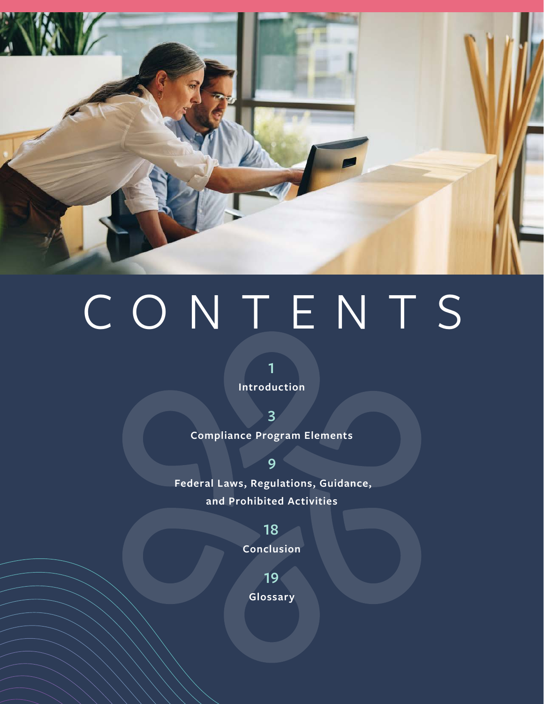

# CONTENTS

**1 Introduction**

**3 Compliance Program Elements**

**Federal Laws, Regulations, Guidance, and Prohibited Activities**

**9**

**18 Conclusion**

**19**

**Glossary**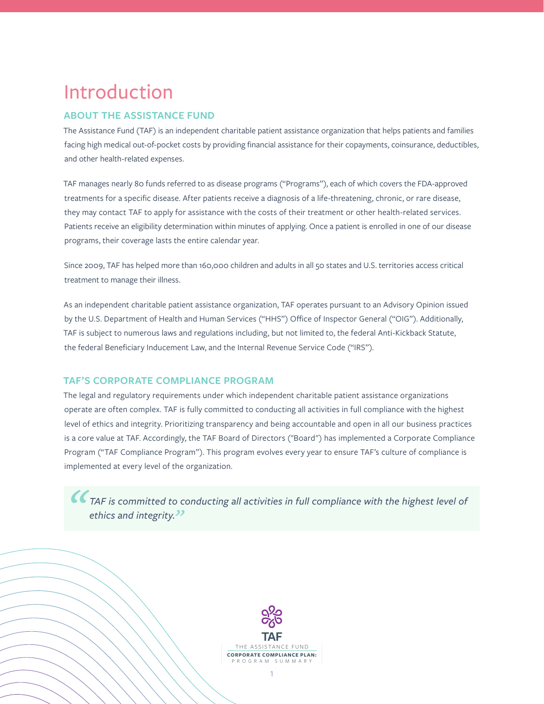# Introduction

# **ABOUT THE ASSISTANCE FUND**

The Assistance Fund (TAF) is an independent charitable patient assistance organization that helps patients and families facing high medical out-of-pocket costs by providing financial assistance for their copayments, coinsurance, deductibles, and other health-related expenses.

TAF manages nearly 80 funds referred to as disease programs ("Programs"), each of which covers the FDA-approved treatments for a specific disease. After patients receive a diagnosis of a life-threatening, chronic, or rare disease, they may contact TAF to apply for assistance with the costs of their treatment or other health-related services. Patients receive an eligibility determination within minutes of applying. Once a patient is enrolled in one of our disease programs, their coverage lasts the entire calendar year.

Since 2009, TAF has helped more than 160,000 children and adults in all 50 states and U.S. territories access critical treatment to manage their illness.

As an independent charitable patient assistance organization, TAF operates pursuant to an Advisory Opinion issued by the U.S. Department of Health and Human Services ("HHS") Office of Inspector General ("OIG"). Additionally, TAF is subject to numerous laws and regulations including, but not limited to, the federal Anti-Kickback Statute, the federal Beneficiary Inducement Law, and the Internal Revenue Service Code ("IRS").

## **TAF'S CORPORATE COMPLIANCE PROGRAM**

The legal and regulatory requirements under which independent charitable patient assistance organizations operate are often complex. TAF is fully committed to conducting all activities in full compliance with the highest level of ethics and integrity. Prioritizing transparency and being accountable and open in all our business practices is a core value at TAF. Accordingly, the TAF Board of Directors ("Board") has implemented a Corporate Compliance Program ("TAF Compliance Program"). This program evolves every year to ensure TAF's culture of compliance is implemented at every level of the organization.

*TAF is committed to conducting all activities in full compliance with the highest level of ethics and integrity."*

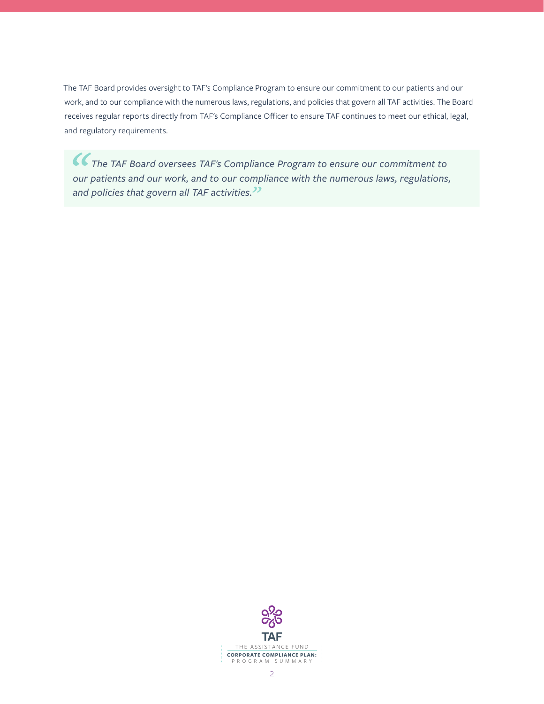The TAF Board provides oversight to TAF's Compliance Program to ensure our commitment to our patients and our work, and to our compliance with the numerous laws, regulations, and policies that govern all TAF activities. The Board receives regular reports directly from TAF's Compliance Officer to ensure TAF continues to meet our ethical, legal, and regulatory requirements.

*The TAF Board oversees TAF's Compliance Program to ensure our commitment to our patients and our work, and to our compliance with the numerous laws, regulations, and policies that govern all TAF activities."*

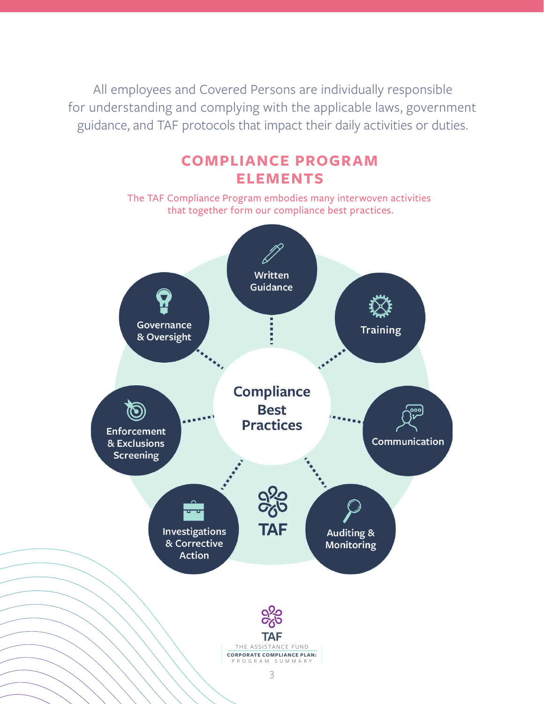All employees and Covered Persons are individually responsible for understanding and complying with the applicable laws, government guidance, and TAF protocols that impact their daily activities or duties.

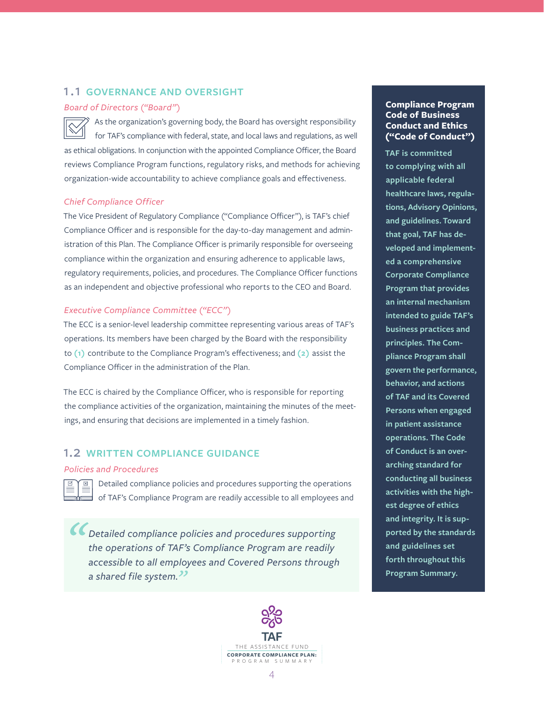## 1.1 **GOVERNANCE AND OVERSIGHT**

#### *Board of Directors ("Board")*

As the organization's governing body, the Board has oversight responsibility for TAF's compliance with federal, state, and local laws and regulations, as well as ethical obligations. In conjunction with the appointed Compliance Officer, the Board reviews Compliance Program functions, regulatory risks, and methods for achieving organization-wide accountability to achieve compliance goals and effectiveness.

#### *Chief Compliance Officer*

The Vice President of Regulatory Compliance ("Compliance Officer"), is TAF's chief Compliance Officer and is responsible for the day-to-day management and administration of this Plan. The Compliance Officer is primarily responsible for overseeing compliance within the organization and ensuring adherence to applicable laws, regulatory requirements, policies, and procedures. The Compliance Officer functions as an independent and objective professional who reports to the CEO and Board.

#### *Executive Compliance Committee ("ECC")*

The ECC is a senior-level leadership committee representing various areas of TAF's operations. Its members have been charged by the Board with the responsibility to **(1)** contribute to the Compliance Program's effectiveness; and **(2)** assist the Compliance Officer in the administration of the Plan.

The ECC is chaired by the Compliance Officer, who is responsible for reporting the compliance activities of the organization, maintaining the minutes of the meetings, and ensuring that decisions are implemented in a timely fashion.

# 1.2 **WRITTEN COMPLIANCE GUIDANCE**

## *Policies and Procedures*



Detailed compliance policies and procedures supporting the operations of TAF's Compliance Program are readily accessible to all employees and

*Detailed compliance policies and procedures supporting the operations of TAF's Compliance Program are readily accessible to all employees and Covered Persons through a shared file system."*



## **Compliance Program Code of Business Conduct and Ethics ("Code of Conduct")**

**TAF is committed to complying with all applicable federal healthcare laws, regulations, Advisory Opinions, and guidelines. Toward that goal, TAF has developed and implemented a comprehensive Corporate Compliance Program that provides an internal mechanism intended to guide TAF's business practices and principles. The Compliance Program shall govern the performance, behavior, and actions of TAF and its Covered Persons when engaged in patient assistance operations. The Code of Conduct is an overarching standard for conducting all business activities with the highest degree of ethics and integrity. It is supported by the standards and guidelines set forth throughout this Program Summary.**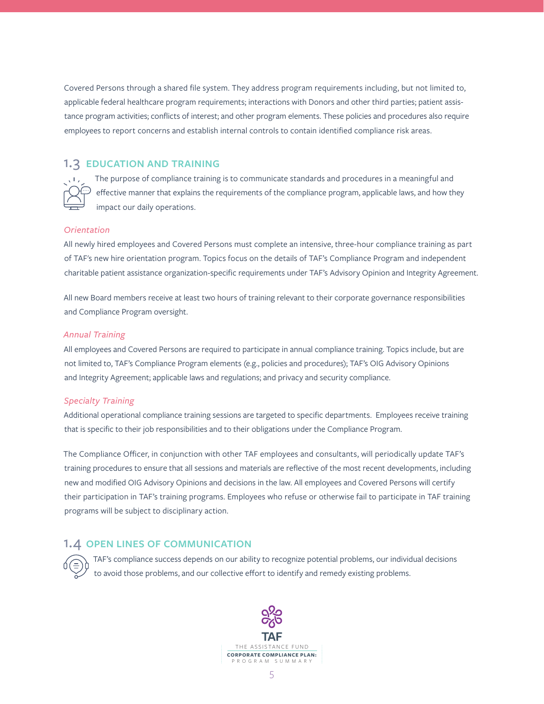Covered Persons through a shared file system. They address program requirements including, but not limited to, applicable federal healthcare program requirements; interactions with Donors and other third parties; patient assistance program activities; conflicts of interest; and other program elements. These policies and procedures also require employees to report concerns and establish internal controls to contain identified compliance risk areas.

## 1.3 **EDUCATION AND TRAINING**

The purpose of compliance training is to communicate standards and procedures in a meaningful and effective manner that explains the requirements of the compliance program, applicable laws, and how they impact our daily operations.

#### *Orientation*

All newly hired employees and Covered Persons must complete an intensive, three-hour compliance training as part of TAF's new hire orientation program. Topics focus on the details of TAF's Compliance Program and independent charitable patient assistance organization-specific requirements under TAF's Advisory Opinion and Integrity Agreement.

All new Board members receive at least two hours of training relevant to their corporate governance responsibilities and Compliance Program oversight.

#### *Annual Training*

All employees and Covered Persons are required to participate in annual compliance training. Topics include, but are not limited to, TAF's Compliance Program elements (e.g., policies and procedures); TAF's OIG Advisory Opinions and Integrity Agreement; applicable laws and regulations; and privacy and security compliance.

#### *Specialty Training*

Additional operational compliance training sessions are targeted to specific departments. Employees receive training that is specific to their job responsibilities and to their obligations under the Compliance Program.

The Compliance Officer, in conjunction with other TAF employees and consultants, will periodically update TAF's training procedures to ensure that all sessions and materials are reflective of the most recent developments, including new and modified OIG Advisory Opinions and decisions in the law. All employees and Covered Persons will certify their participation in TAF's training programs. Employees who refuse or otherwise fail to participate in TAF training programs will be subject to disciplinary action.

#### 1.4 **OPEN LINES OF COMMUNICATION**

TAF's compliance success depends on our ability to recognize potential problems, our individual decisions to avoid those problems, and our collective effort to identify and remedy existing problems.

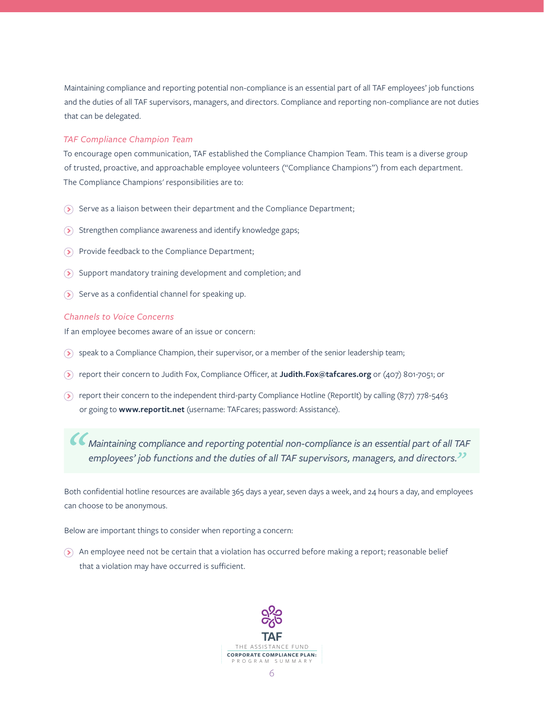Maintaining compliance and reporting potential non-compliance is an essential part of all TAF employees' job functions and the duties of all TAF supervisors, managers, and directors. Compliance and reporting non-compliance are not duties that can be delegated.

#### *TAF Compliance Champion Team*

To encourage open communication, TAF established the Compliance Champion Team. This team is a diverse group of trusted, proactive, and approachable employee volunteers ("Compliance Champions") from each department. The Compliance Champions' responsibilities are to:

- $\odot$  Serve as a liaison between their department and the Compliance Department;
- $\odot$  Strengthen compliance awareness and identify knowledge gaps;
- $\odot$  Provide feedback to the Compliance Department;
- $\Omega$  Support mandatory training development and completion; and
- $\odot$  Serve as a confidential channel for speaking up.

#### *Channels to Voice Concerns*

If an employee becomes aware of an issue or concern:

- $\delta$  speak to a Compliance Champion, their supervisor, or a member of the senior leadership team;
- report their concern to Judith Fox, Compliance Officer, at **Judith.Fox@tafcares.org** or (407) 801-7051; or
- **(5)** report their concern to the independent third-party Compliance Hotline (ReportIt) by calling (877) 778-5463 or going to **www.reportit.net** (username: TAFcares; password: Assistance).

*Maintaining compliance and reporting potential non-compliance is an essential part of all TAF employees' job functions and the duties of all TAF supervisors, managers, and directors."*

Both confidential hotline resources are available 365 days a year, seven days a week, and 24 hours a day, and employees can choose to be anonymous.

Below are important things to consider when reporting a concern:

An employee need not be certain that a violation has occurred before making a report; reasonable belief that a violation may have occurred is sufficient.

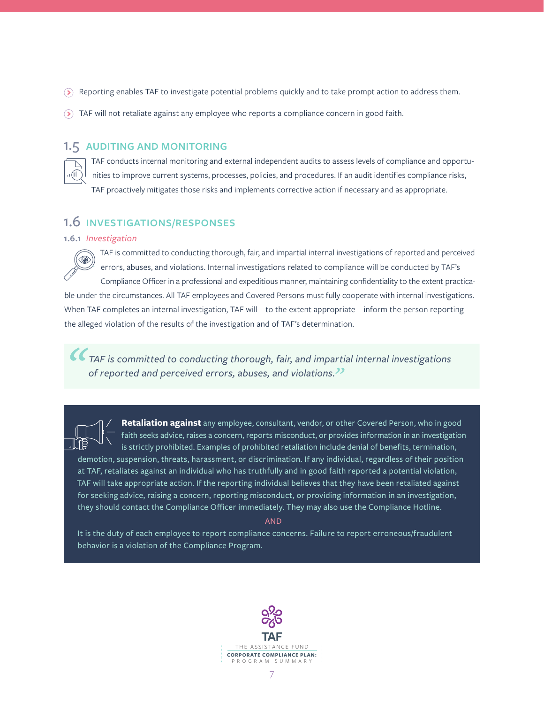- Reporting enables TAF to investigate potential problems quickly and to take prompt action to address them.
- TAF will not retaliate against any employee who reports a compliance concern in good faith.

# 1.5 **AUDITING AND MONITORING**

TAF conducts internal monitoring and external independent audits to assess levels of compliance and opportunities to improve current systems, processes, policies, and procedures. If an audit identifies compliance risks, TAF proactively mitigates those risks and implements corrective action if necessary and as appropriate.

# 1.6 **INVESTIGATIONS/RESPONSES**

#### **1.6.1** *Investigation*

TAF is committed to conducting thorough, fair, and impartial internal investigations of reported and perceived errors, abuses, and violations. Internal investigations related to compliance will be conducted by TAF's Compliance Officer in a professional and expeditious manner, maintaining confidentiality to the extent practicable under the circumstances. All TAF employees and Covered Persons must fully cooperate with internal investigations. When TAF completes an internal investigation, TAF will—to the extent appropriate—inform the person reporting the alleged violation of the results of the investigation and of TAF's determination.

*TAF is committed to conducting thorough, fair, and impartial internal investigations of reported and perceived errors, abuses, and violations."*

**Retaliation against** any employee, consultant, vendor, or other Covered Person, who in good faith seeks advice, raises a concern, reports misconduct, or provides information in an investigation is strictly prohibited. Examples of prohibited retaliation include denial of benefits, termination, demotion, suspension, threats, harassment, or discrimination. If any individual, regardless of their position at TAF, retaliates against an individual who has truthfully and in good faith reported a potential violation, TAF will take appropriate action. If the reporting individual believes that they have been retaliated against for seeking advice, raising a concern, reporting misconduct, or providing information in an investigation, they should contact the Compliance Officer immediately. They may also use the Compliance Hotline.

AND

It is the duty of each employee to report compliance concerns. Failure to report erroneous/fraudulent behavior is a violation of the Compliance Program.

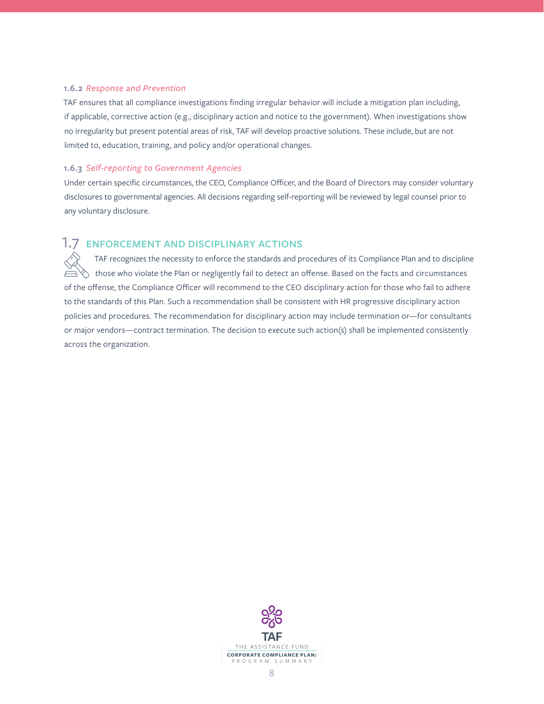#### **1.6.2** *Response and Prevention*

TAF ensures that all compliance investigations finding irregular behavior will include a mitigation plan including, if applicable, corrective action (e.g., disciplinary action and notice to the government). When investigations show no irregularity but present potential areas of risk, TAF will develop proactive solutions. These include, but are not limited to, education, training, and policy and/or operational changes.

#### **1.6.3** *Self-reporting to Government Agencies*

Under certain specific circumstances, the CEO, Compliance Officer, and the Board of Directors may consider voluntary disclosures to governmental agencies. All decisions regarding self-reporting will be reviewed by legal counsel prior to any voluntary disclosure.

# 1.7 **ENFORCEMENT AND DISCIPLINARY ACTIONS**

TAF recognizes the necessity to enforce the standards and procedures of its Compliance Plan and to discipline  $\Diamond~$  those who violate the Plan or negligently fail to detect an offense. Based on the facts and circumstances of the offense, the Compliance Officer will recommend to the CEO disciplinary action for those who fail to adhere to the standards of this Plan. Such a recommendation shall be consistent with HR progressive disciplinary action policies and procedures. The recommendation for disciplinary action may include termination or—for consultants or major vendors—contract termination. The decision to execute such action(s) shall be implemented consistently across the organization.

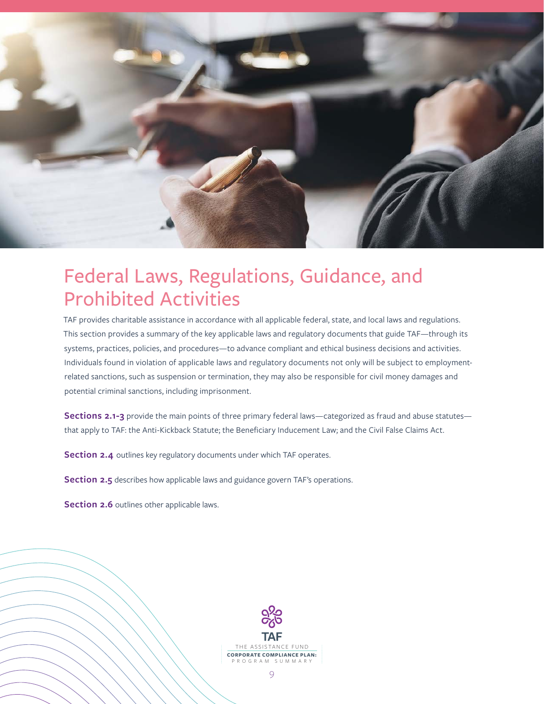

# Federal Laws, Regulations, Guidance, and Prohibited Activities

TAF provides charitable assistance in accordance with all applicable federal, state, and local laws and regulations. This section provides a summary of the key applicable laws and regulatory documents that guide TAF—through its systems, practices, policies, and procedures—to advance compliant and ethical business decisions and activities. Individuals found in violation of applicable laws and regulatory documents not only will be subject to employmentrelated sanctions, such as suspension or termination, they may also be responsible for civil money damages and potential criminal sanctions, including imprisonment.

**Sections 2.1-3** provide the main points of three primary federal laws—categorized as fraud and abuse statutes that apply to TAF: the Anti-Kickback Statute; the Beneficiary Inducement Law; and the Civil False Claims Act.

**Section 2.4** outlines key regulatory documents under which TAF operates.

**Section 2.5** describes how applicable laws and guidance govern TAF's operations.

**Section 2.6** outlines other applicable laws.

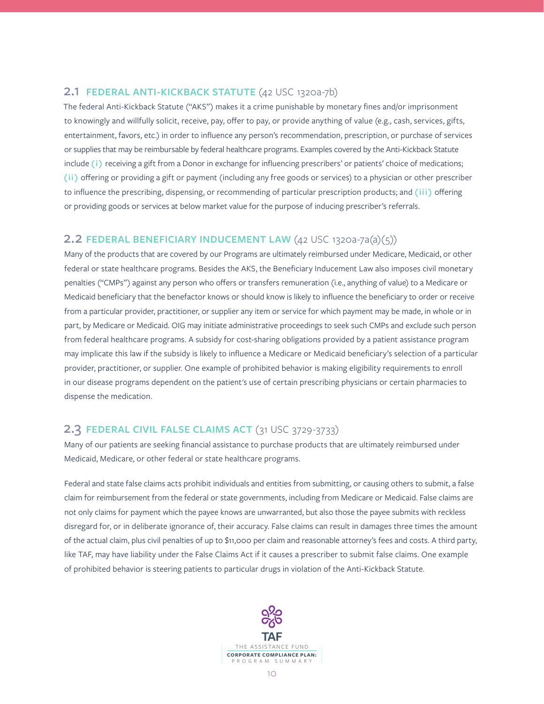## 2.1 **FEDERAL ANTI-KICKBACK STATUTE** (42 USC 1320a-7b)

The federal Anti-Kickback Statute ("AKS") makes it a crime punishable by monetary fines and/or imprisonment to knowingly and willfully solicit, receive, pay, offer to pay, or provide anything of value (e.g., cash, services, gifts, entertainment, favors, etc.) in order to influence any person's recommendation, prescription, or purchase of services or supplies that may be reimbursable by federal healthcare programs. Examples covered by the Anti-Kickback Statute include (i) receiving a gift from a Donor in exchange for influencing prescribers' or patients' choice of medications; **(ii)** offering or providing a gift or payment (including any free goods or services) to a physician or other prescriber to influence the prescribing, dispensing, or recommending of particular prescription products; and **(iii)** offering or providing goods or services at below market value for the purpose of inducing prescriber's referrals.

# 2.2 **FEDERAL BENEFICIARY INDUCEMENT LAW** (42 USC 1320a-7a(a)(5))

Many of the products that are covered by our Programs are ultimately reimbursed under Medicare, Medicaid, or other federal or state healthcare programs. Besides the AKS, the Beneficiary Inducement Law also imposes civil monetary penalties ("CMPs") against any person who offers or transfers remuneration (i.e., anything of value) to a Medicare or Medicaid beneficiary that the benefactor knows or should know is likely to influence the beneficiary to order or receive from a particular provider, practitioner, or supplier any item or service for which payment may be made, in whole or in part, by Medicare or Medicaid. OIG may initiate administrative proceedings to seek such CMPs and exclude such person from federal healthcare programs. A subsidy for cost-sharing obligations provided by a patient assistance program may implicate this law if the subsidy is likely to influence a Medicare or Medicaid beneficiary's selection of a particular provider, practitioner, or supplier. One example of prohibited behavior is making eligibility requirements to enroll in our disease programs dependent on the patient's use of certain prescribing physicians or certain pharmacies to dispense the medication.

# 2.3 **FEDERAL CIVIL FALSE CLAIMS ACT** (31 USC 3729-3733)

Many of our patients are seeking financial assistance to purchase products that are ultimately reimbursed under Medicaid, Medicare, or other federal or state healthcare programs.

Federal and state false claims acts prohibit individuals and entities from submitting, or causing others to submit, a false claim for reimbursement from the federal or state governments, including from Medicare or Medicaid. False claims are not only claims for payment which the payee knows are unwarranted, but also those the payee submits with reckless disregard for, or in deliberate ignorance of, their accuracy. False claims can result in damages three times the amount of the actual claim, plus civil penalties of up to \$11,000 per claim and reasonable attorney's fees and costs. A third party, like TAF, may have liability under the False Claims Act if it causes a prescriber to submit false claims. One example of prohibited behavior is steering patients to particular drugs in violation of the Anti-Kickback Statute.

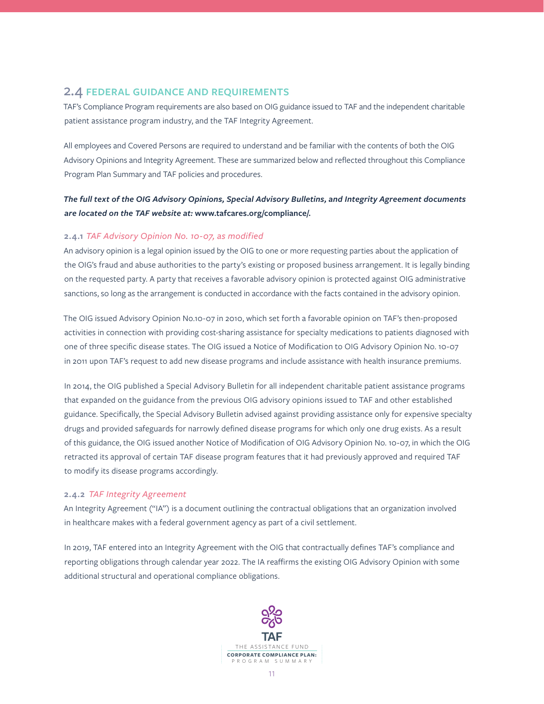# 2.4 **FEDERAL GUIDANCE AND REQUIREMENTS**

TAF's Compliance Program requirements are also based on OIG guidance issued to TAF and the independent charitable patient assistance program industry, and the TAF Integrity Agreement.

All employees and Covered Persons are required to understand and be familiar with the contents of both the OIG Advisory Opinions and Integrity Agreement. These are summarized below and reflected throughout this Compliance Program Plan Summary and TAF policies and procedures.

# *The full text of the OIG Advisory Opinions, Special Advisory Bulletins, and Integrity Agreement documents are located on the TAF website at:* **www.tafcares.org/compliance/***.*

#### **2.4.1** *TAF Advisory Opinion No. 10-07, as modified*

An advisory opinion is a legal opinion issued by the OIG to one or more requesting parties about the application of the OIG's fraud and abuse authorities to the party's existing or proposed business arrangement. It is legally binding on the requested party. A party that receives a favorable advisory opinion is protected against OIG administrative sanctions, so long as the arrangement is conducted in accordance with the facts contained in the advisory opinion.

The OIG issued Advisory Opinion No.10-07 in 2010, which set forth a favorable opinion on TAF's then-proposed activities in connection with providing cost-sharing assistance for specialty medications to patients diagnosed with one of three specific disease states. The OIG issued a Notice of Modification to OIG Advisory Opinion No. 10-07 in 2011 upon TAF's request to add new disease programs and include assistance with health insurance premiums.

In 2014, the OIG published a Special Advisory Bulletin for all independent charitable patient assistance programs that expanded on the guidance from the previous OIG advisory opinions issued to TAF and other established guidance. Specifically, the Special Advisory Bulletin advised against providing assistance only for expensive specialty drugs and provided safeguards for narrowly defined disease programs for which only one drug exists. As a result of this guidance, the OIG issued another Notice of Modification of OIG Advisory Opinion No. 10-07, in which the OIG retracted its approval of certain TAF disease program features that it had previously approved and required TAF to modify its disease programs accordingly.

#### **2.4.2** *TAF Integrity Agreement*

An Integrity Agreement ("IA") is a document outlining the contractual obligations that an organization involved in healthcare makes with a federal government agency as part of a civil settlement.

In 2019, TAF entered into an Integrity Agreement with the OIG that contractually defines TAF's compliance and reporting obligations through calendar year 2022. The IA reaffirms the existing OIG Advisory Opinion with some additional structural and operational compliance obligations.

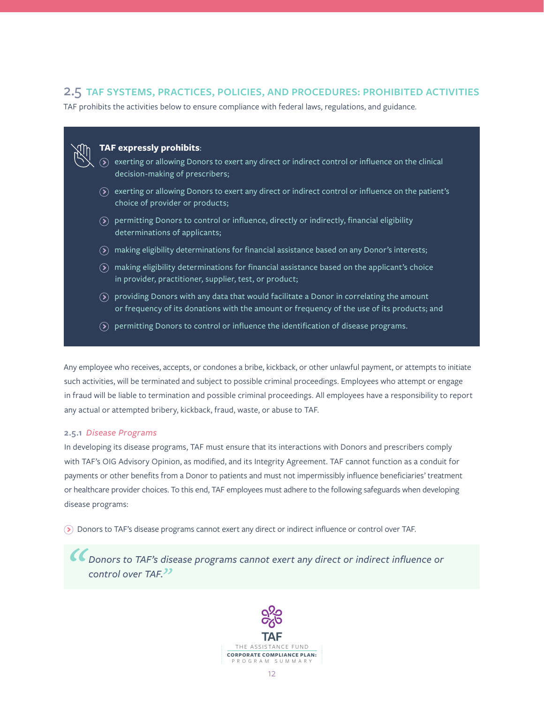# 2.5 **TAF SYSTEMS, PRACTICES, POLICIES, AND PROCEDURES: PROHIBITED ACTIVITIES**

TAF prohibits the activities below to ensure compliance with federal laws, regulations, and guidance.

## **TAF expressly prohibits**:

- $\odot$  exerting or allowing Donors to exert any direct or indirect control or influence on the clinical decision-making of prescribers;
- $\delta$  exerting or allowing Donors to exert any direct or indirect control or influence on the patient's choice of provider or products;
- $\delta$  permitting Donors to control or influence, directly or indirectly, financial eligibility determinations of applicants;
- $\delta$  making eligibility determinations for financial assistance based on any Donor's interests;
- $\delta$  making eligibility determinations for financial assistance based on the applicant's choice in provider, practitioner, supplier, test, or product;
- $\delta$  providing Donors with any data that would facilitate a Donor in correlating the amount or frequency of its donations with the amount or frequency of the use of its products; and
- $\mathcal{P}$  permitting Donors to control or influence the identification of disease programs.

Any employee who receives, accepts, or condones a bribe, kickback, or other unlawful payment, or attempts to initiate such activities, will be terminated and subject to possible criminal proceedings. Employees who attempt or engage in fraud will be liable to termination and possible criminal proceedings. All employees have a responsibility to report any actual or attempted bribery, kickback, fraud, waste, or abuse to TAF.

#### **2.5.1** *Disease Programs*

In developing its disease programs, TAF must ensure that its interactions with Donors and prescribers comply with TAF's OIG Advisory Opinion, as modified, and its Integrity Agreement. TAF cannot function as a conduit for payments or other benefits from a Donor to patients and must not impermissibly influence beneficiaries' treatment or healthcare provider choices. To this end, TAF employees must adhere to the following safeguards when developing disease programs:

Donors to TAF's disease programs cannot exert any direct or indirect influence or control over TAF.

*Donors to TAF's disease programs cannot exert any direct or indirect influence or control over TAF."*

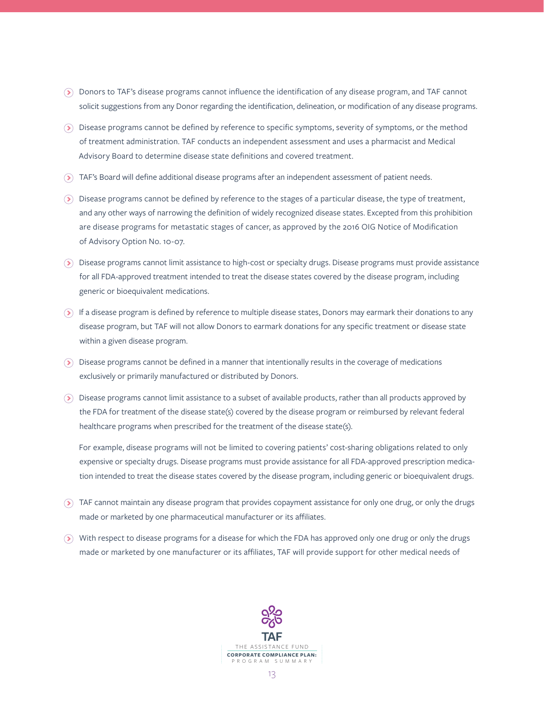- Donors to TAF's disease programs cannot influence the identification of any disease program, and TAF cannot solicit suggestions from any Donor regarding the identification, delineation, or modification of any disease programs.
- Disease programs cannot be defined by reference to specific symptoms, severity of symptoms, or the method of treatment administration. TAF conducts an independent assessment and uses a pharmacist and Medical Advisory Board to determine disease state definitions and covered treatment.
- TAF's Board will define additional disease programs after an independent assessment of patient needs.
- Disease programs cannot be defined by reference to the stages of a particular disease, the type of treatment, and any other ways of narrowing the definition of widely recognized disease states. Excepted from this prohibition are disease programs for metastatic stages of cancer, as approved by the 2016 OIG Notice of Modification of Advisory Option No. 10-07.
- Disease programs cannot limit assistance to high-cost or specialty drugs. Disease programs must provide assistance for all FDA-approved treatment intended to treat the disease states covered by the disease program, including generic or bioequivalent medications.
- If a disease program is defined by reference to multiple disease states, Donors may earmark their donations to any disease program, but TAF will not allow Donors to earmark donations for any specific treatment or disease state within a given disease program.
- $\odot$  Disease programs cannot be defined in a manner that intentionally results in the coverage of medications exclusively or primarily manufactured or distributed by Donors.
- Disease programs cannot limit assistance to a subset of available products, rather than all products approved by the FDA for treatment of the disease state(s) covered by the disease program or reimbursed by relevant federal healthcare programs when prescribed for the treatment of the disease state(s).

For example, disease programs will not be limited to covering patients' cost-sharing obligations related to only expensive or specialty drugs. Disease programs must provide assistance for all FDA-approved prescription medication intended to treat the disease states covered by the disease program, including generic or bioequivalent drugs.

- TAF cannot maintain any disease program that provides copayment assistance for only one drug, or only the drugs made or marketed by one pharmaceutical manufacturer or its affiliates.
- With respect to disease programs for a disease for which the FDA has approved only one drug or only the drugs made or marketed by one manufacturer or its affiliates, TAF will provide support for other medical needs of

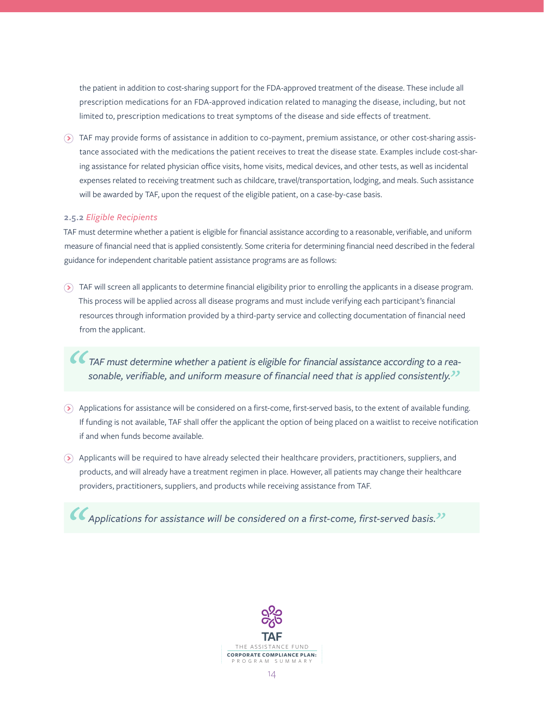the patient in addition to cost-sharing support for the FDA-approved treatment of the disease. These include all prescription medications for an FDA-approved indication related to managing the disease, including, but not limited to, prescription medications to treat symptoms of the disease and side effects of treatment.

TAF may provide forms of assistance in addition to co-payment, premium assistance, or other cost-sharing assistance associated with the medications the patient receives to treat the disease state. Examples include cost-sharing assistance for related physician office visits, home visits, medical devices, and other tests, as well as incidental expenses related to receiving treatment such as childcare, travel/transportation, lodging, and meals. Such assistance will be awarded by TAF, upon the request of the eligible patient, on a case-by-case basis.

#### **2.5.2** *Eligible Recipients*

TAF must determine whether a patient is eligible for financial assistance according to a reasonable, verifiable, and uniform measure of financial need that is applied consistently. Some criteria for determining financial need described in the federal guidance for independent charitable patient assistance programs are as follows:

TAF will screen all applicants to determine financial eligibility prior to enrolling the applicants in a disease program. This process will be applied across all disease programs and must include verifying each participant's financial resources through information provided by a third-party service and collecting documentation of financial need from the applicant.

*TAF must determine whether a patient is eligible for financial assistance according to a reasonable, verifiable, and uniform measure of financial need that is applied consistently."*

- Applications for assistance will be considered on a first-come, first-served basis, to the extent of available funding. If funding is not available, TAF shall offer the applicant the option of being placed on a waitlist to receive notification if and when funds become available.
- Applicants will be required to have already selected their healthcare providers, practitioners, suppliers, and products, and will already have a treatment regimen in place. However, all patients may change their healthcare providers, practitioners, suppliers, and products while receiving assistance from TAF.

*Applications for assistance will be considered on a first-come, first-served basis."*

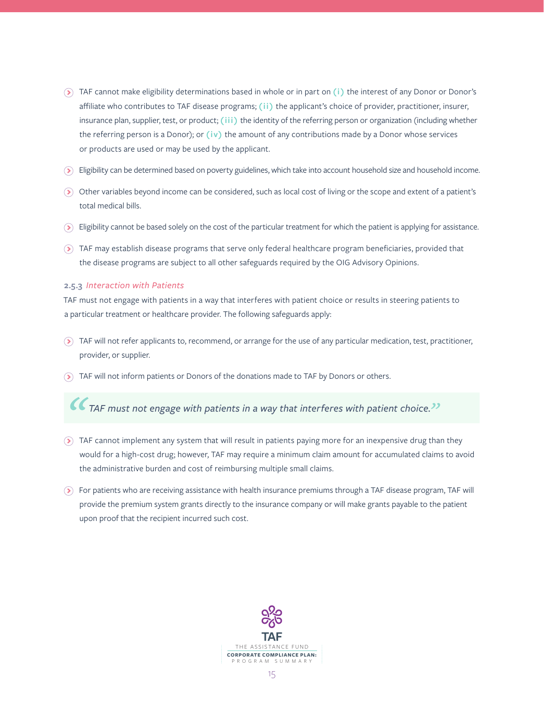- TAF cannot make eligibility determinations based in whole or in part on **(i)** the interest of any Donor or Donor's affiliate who contributes to TAF disease programs; **(ii)** the applicant's choice of provider, practitioner, insurer, insurance plan, supplier, test, or product; **(iii)** the identity of the referring person or organization (including whether the referring person is a Donor); or **(iv)** the amount of any contributions made by a Donor whose services or products are used or may be used by the applicant.
- Eligibility can be determined based on poverty guidelines, which take into account household size and household income.
- Other variables beyond income can be considered, such as local cost of living or the scope and extent of a patient's total medical bills.
- Eligibility cannot be based solely on the cost of the particular treatment for which the patient is applying for assistance.
- TAF may establish disease programs that serve only federal healthcare program beneficiaries, provided that the disease programs are subject to all other safeguards required by the OIG Advisory Opinions.

#### **2.5.3** *Interaction with Patients*

TAF must not engage with patients in a way that interferes with patient choice or results in steering patients to a particular treatment or healthcare provider. The following safeguards apply:

- $\odot$  TAF will not refer applicants to, recommend, or arrange for the use of any particular medication, test, practitioner, provider, or supplier.
- TAF will not inform patients or Donors of the donations made to TAF by Donors or others.

*TAF must not engage with patients in a way that interferes with patient choice."*

- TAF cannot implement any system that will result in patients paying more for an inexpensive drug than they would for a high-cost drug; however, TAF may require a minimum claim amount for accumulated claims to avoid the administrative burden and cost of reimbursing multiple small claims.
- For patients who are receiving assistance with health insurance premiums through a TAF disease program, TAF will provide the premium system grants directly to the insurance company or will make grants payable to the patient upon proof that the recipient incurred such cost.

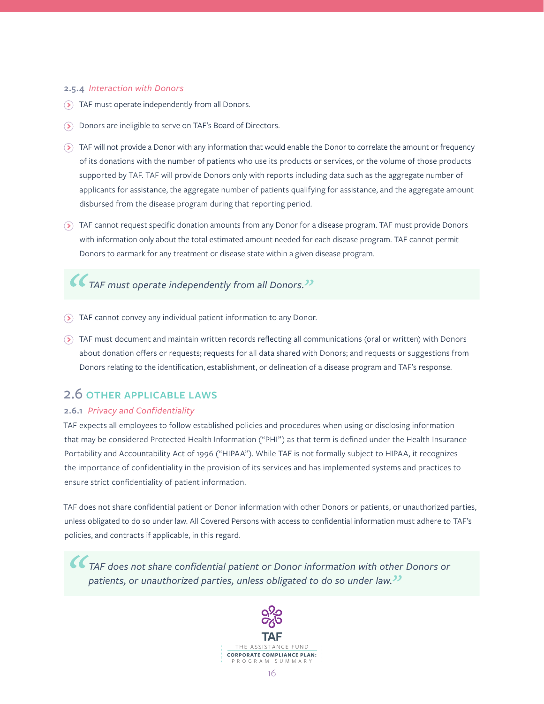#### **2.5.4** *Interaction with Donors*

- TAF must operate independently from all Donors.
- Donors are ineligible to serve on TAF's Board of Directors.
- TAF will not provide a Donor with any information that would enable the Donor to correlate the amount or frequency of its donations with the number of patients who use its products or services, or the volume of those products supported by TAF. TAF will provide Donors only with reports including data such as the aggregate number of applicants for assistance, the aggregate number of patients qualifying for assistance, and the aggregate amount disbursed from the disease program during that reporting period.
- TAF cannot request specific donation amounts from any Donor for a disease program. TAF must provide Donors with information only about the total estimated amount needed for each disease program. TAF cannot permit Donors to earmark for any treatment or disease state within a given disease program.

# *TAF must operate independently from all Donors."*

- TAF cannot convey any individual patient information to any Donor.
- TAF must document and maintain written records reflecting all communications (oral or written) with Donors about donation offers or requests; requests for all data shared with Donors; and requests or suggestions from Donors relating to the identification, establishment, or delineation of a disease program and TAF's response.

# 2.6 **OTHER APPLICABLE LAWS**

## **2.6.1** *Privacy and Confidentiality*

TAF expects all employees to follow established policies and procedures when using or disclosing information that may be considered Protected Health Information ("PHI") as that term is defined under the Health Insurance Portability and Accountability Act of 1996 ("HIPAA"). While TAF is not formally subject to HIPAA, it recognizes the importance of confidentiality in the provision of its services and has implemented systems and practices to ensure strict confidentiality of patient information.

TAF does not share confidential patient or Donor information with other Donors or patients, or unauthorized parties, unless obligated to do so under law. All Covered Persons with access to confidential information must adhere to TAF's policies, and contracts if applicable, in this regard.

*TAF does not share confidential patient or Donor information with other Donors or patients, or unauthorized parties, unless obligated to do so under law."*

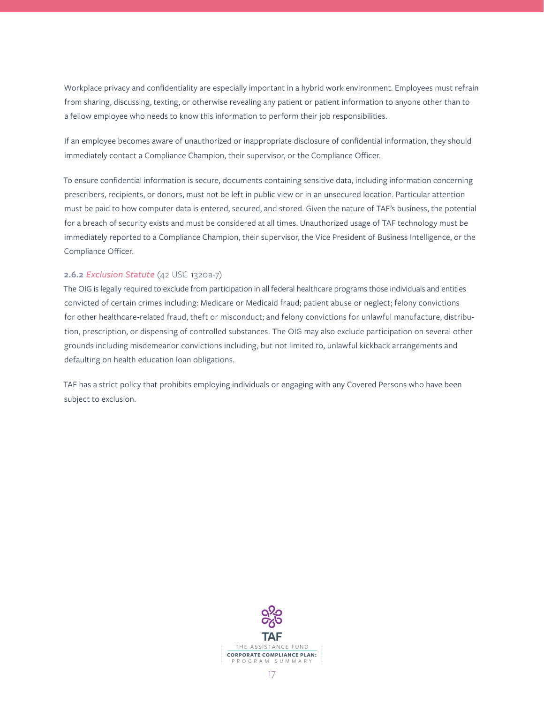Workplace privacy and confidentiality are especially important in a hybrid work environment. Employees must refrain from sharing, discussing, texting, or otherwise revealing any patient or patient information to anyone other than to a fellow employee who needs to know this information to perform their job responsibilities.

If an employee becomes aware of unauthorized or inappropriate disclosure of confidential information, they should immediately contact a Compliance Champion, their supervisor, or the Compliance Officer.

To ensure confidential information is secure, documents containing sensitive data, including information concerning prescribers, recipients, or donors, must not be left in public view or in an unsecured location. Particular attention must be paid to how computer data is entered, secured, and stored. Given the nature of TAF's business, the potential for a breach of security exists and must be considered at all times. Unauthorized usage of TAF technology must be immediately reported to a Compliance Champion, their supervisor, the Vice President of Business Intelligence, or the Compliance Officer.

## **2.6.2** *Exclusion Statute* (42 USC 1320a-7)

The OIG is legally required to exclude from participation in all federal healthcare programs those individuals and entities convicted of certain crimes including: Medicare or Medicaid fraud; patient abuse or neglect; felony convictions for other healthcare-related fraud, theft or misconduct; and felony convictions for unlawful manufacture, distribution, prescription, or dispensing of controlled substances. The OIG may also exclude participation on several other grounds including misdemeanor convictions including, but not limited to, unlawful kickback arrangements and defaulting on health education loan obligations.

TAF has a strict policy that prohibits employing individuals or engaging with any Covered Persons who have been subject to exclusion.

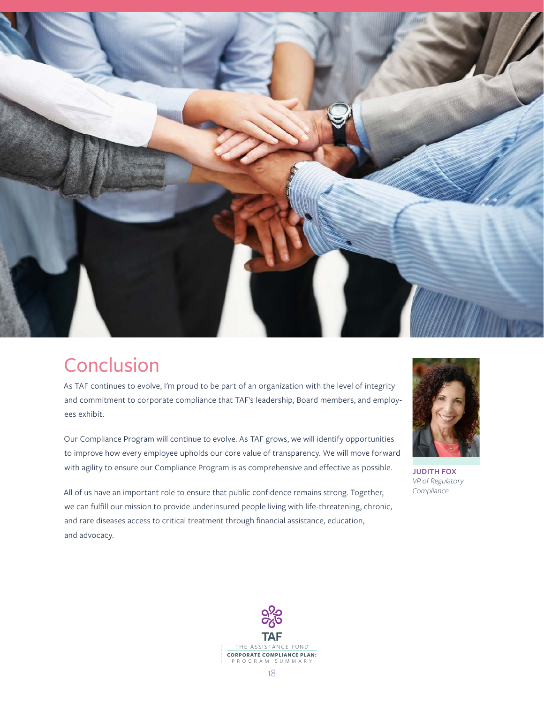

# Conclusion

As TAF continues to evolve, I'm proud to be part of an organization with the level of integrity and commitment to corporate compliance that TAF's leadership, Board members, and employees exhibit.

Our Compliance Program will continue to evolve. As TAF grows, we will identify opportunities to improve how every employee upholds our core value of transparency. We will move forward with agility to ensure our Compliance Program is as comprehensive and effective as possible.

All of us have an important role to ensure that public confidence remains strong. Together, we can fulfill our mission to provide underinsured people living with life-threatening, chronic, and rare diseases access to critical treatment through financial assistance, education, and advocacy.



**JUDITH FOX** *VP of Regulatory Compliance*